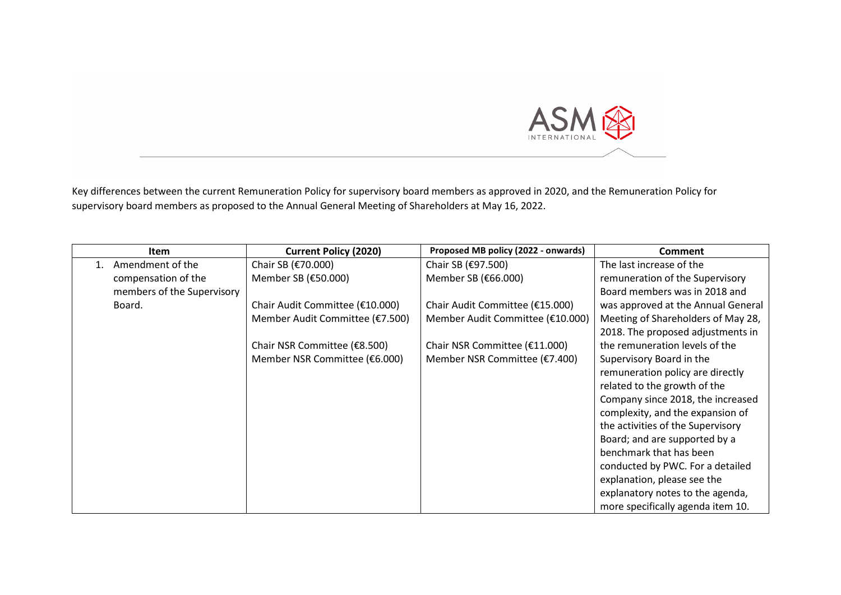

Key differences between the current Remuneration Policy for supervisory board members as approved in 2020, and the Remuneration Policy for supervisory board members as proposed to the Annual General Meeting of Shareholders at May 16, 2022.

| <b>Item</b>                 | <b>Current Policy (2020)</b>    | Proposed MB policy (2022 - onwards) | <b>Comment</b>                     |
|-----------------------------|---------------------------------|-------------------------------------|------------------------------------|
| Amendment of the<br>$1_{-}$ | Chair SB (€70.000)              | Chair SB (€97.500)                  | The last increase of the           |
| compensation of the         | Member SB (€50.000)             | Member SB (€66.000)                 | remuneration of the Supervisory    |
| members of the Supervisory  |                                 |                                     | Board members was in 2018 and      |
| Board.                      | Chair Audit Committee (€10.000) | Chair Audit Committee (€15.000)     | was approved at the Annual General |
|                             | Member Audit Committee (€7.500) | Member Audit Committee (€10.000)    | Meeting of Shareholders of May 28, |
|                             |                                 |                                     | 2018. The proposed adjustments in  |
|                             | Chair NSR Committee (€8.500)    | Chair NSR Committee (€11.000)       | the remuneration levels of the     |
|                             | Member NSR Committee (€6.000)   | Member NSR Committee (€7.400)       | Supervisory Board in the           |
|                             |                                 |                                     | remuneration policy are directly   |
|                             |                                 |                                     | related to the growth of the       |
|                             |                                 |                                     | Company since 2018, the increased  |
|                             |                                 |                                     | complexity, and the expansion of   |
|                             |                                 |                                     | the activities of the Supervisory  |
|                             |                                 |                                     | Board; and are supported by a      |
|                             |                                 |                                     | benchmark that has been            |
|                             |                                 |                                     | conducted by PWC. For a detailed   |
|                             |                                 |                                     | explanation, please see the        |
|                             |                                 |                                     | explanatory notes to the agenda,   |
|                             |                                 |                                     | more specifically agenda item 10.  |